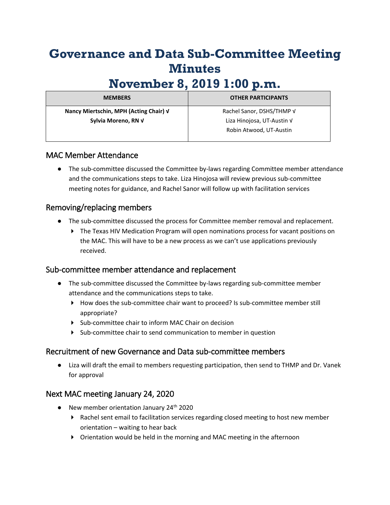# **Governance and Data Sub-Committee Meeting Minutes**

# **November 8, 2019 1:00 p.m.**

| <b>MEMBERS</b>                         | <b>OTHER PARTICIPANTS</b>  |
|----------------------------------------|----------------------------|
| Nancy Miertschin, MPH (Acting Chair) √ | Rachel Sanor, DSHS/THMP V  |
| Sylvia Moreno, RN V                    | Liza Hinojosa, UT-Austin V |
|                                        | Robin Atwood, UT-Austin    |

## MAC Member Attendance

● The sub-committee discussed the Committee by-laws regarding Committee member attendance and the communications steps to take. Liza Hinojosa will review previous sub-committee meeting notes for guidance, and Rachel Sanor will follow up with facilitation services

### Removing/replacing members

- The sub-committee discussed the process for Committee member removal and replacement.
	- ▶ The Texas HIV Medication Program will open nominations process for vacant positions on the MAC. This will have to be a new process as we can't use applications previously received.

### Sub-committee member attendance and replacement

- The sub-committee discussed the Committee by-laws regarding sub-committee member attendance and the communications steps to take.
	- ▶ How does the sub-committee chair want to proceed? Is sub-committee member still appropriate?
	- Sub-committee chair to inform MAC Chair on decision
	- Sub-committee chair to send communication to member in question

## Recruitment of new Governance and Data sub-committee members

● Liza will draft the email to members requesting participation, then send to THMP and Dr. Vanek for approval

## Next MAC meeting January 24, 2020

- New member orientation January  $24<sup>th</sup>$  2020
	- ▶ Rachel sent email to facilitation services regarding closed meeting to host new member orientation – waiting to hear back
	- Orientation would be held in the morning and MAC meeting in the afternoon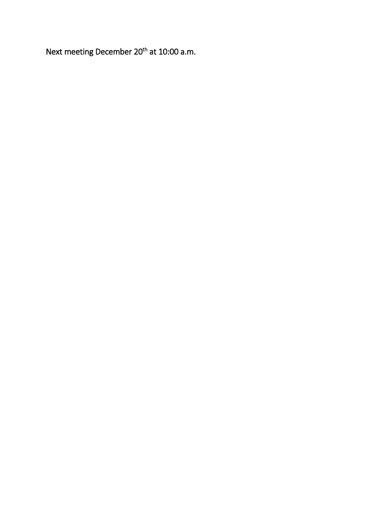Next meeting December 20<sup>th</sup> at 10:00 a.m.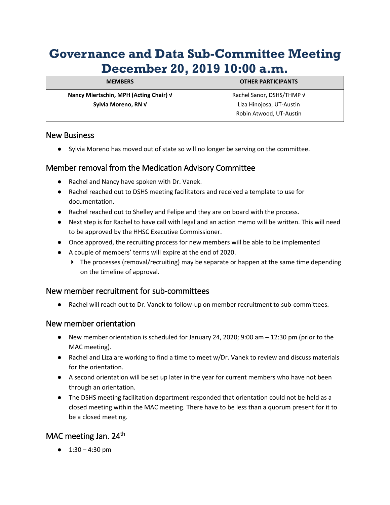# **Governance and Data Sub-Committee Meeting December 20, 2019 10:00 a.m.**

| <b>MEMBERS</b>                         | <b>OTHER PARTICIPANTS</b> |
|----------------------------------------|---------------------------|
| Nancy Miertschin, MPH (Acting Chair) V | Rachel Sanor, DSHS/THMP V |
| Sylvia Moreno, RN V                    | Liza Hinojosa, UT-Austin  |
|                                        | Robin Atwood, UT-Austin   |

#### New Business

● Sylvia Moreno has moved out of state so will no longer be serving on the committee.

## Member removal from the Medication Advisory Committee

- Rachel and Nancy have spoken with Dr. Vanek.
- Rachel reached out to DSHS meeting facilitators and received a template to use for documentation.
- Rachel reached out to Shelley and Felipe and they are on board with the process.
- Next step is for Rachel to have call with legal and an action memo will be written. This will need to be approved by the HHSC Executive Commissioner.
- Once approved, the recruiting process for new members will be able to be implemented
- A couple of members' terms will expire at the end of 2020.
	- $\triangleright$  The processes (removal/recruiting) may be separate or happen at the same time depending on the timeline of approval.

## New member recruitment for sub-committees

● Rachel will reach out to Dr. Vanek to follow-up on member recruitment to sub-committees.

### New member orientation

- New member orientation is scheduled for January 24, 2020; 9:00 am 12:30 pm (prior to the MAC meeting).
- Rachel and Liza are working to find a time to meet w/Dr. Vanek to review and discuss materials for the orientation.
- A second orientation will be set up later in the year for current members who have not been through an orientation.
- The DSHS meeting facilitation department responded that orientation could not be held as a closed meeting within the MAC meeting. There have to be less than a quorum present for it to be a closed meeting.

# MAC meeting Jan. 24<sup>th</sup>

●  $1:30 - 4:30$  pm